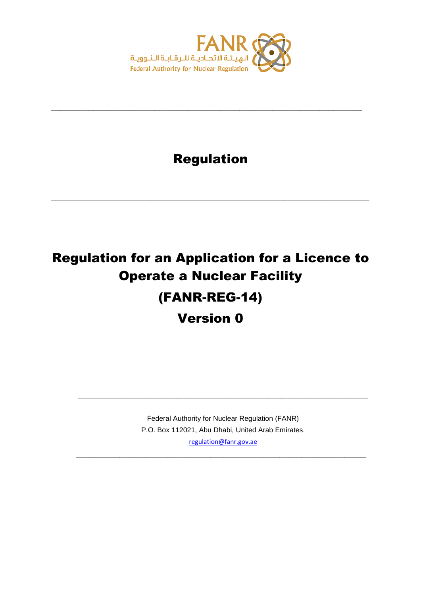

### Regulation

**\_\_\_\_\_\_\_\_\_\_\_\_\_\_\_\_\_\_\_\_\_\_\_\_\_\_\_\_\_\_\_\_\_\_\_\_\_\_\_\_\_\_\_\_\_\_\_\_\_\_\_\_\_\_\_\_\_\_\_\_\_\_\_\_\_\_\_**

**\_\_\_\_\_\_\_\_\_\_\_\_\_\_\_\_\_\_\_\_\_\_\_\_\_\_\_\_\_\_\_\_\_\_\_\_\_\_\_\_\_\_\_\_\_\_\_\_\_\_\_\_\_\_\_\_\_\_\_\_\_\_\_\_\_\_**

# Regulation for an Application for a Licence to Operate a Nuclear Facility (FANR-REG-14)

Version 0

Federal Authority for Nuclear Regulation (FANR) P.O. Box 112021, Abu Dhabi, United Arab Emirates. [regulation@fanr.gov.ae](http://www.fanr.gov.ae/)

**\_\_\_\_\_\_\_\_\_\_\_\_\_\_\_\_\_\_\_\_\_\_\_\_\_\_\_\_\_\_\_\_\_\_\_\_\_\_\_\_\_\_\_\_\_\_\_\_\_\_\_\_\_\_\_\_\_\_\_\_\_\_\_\_\_\_\_**

**\_\_\_\_\_\_\_\_\_\_\_\_\_\_\_\_\_\_\_\_\_\_\_\_\_\_\_\_\_\_\_\_\_\_\_\_\_\_\_\_\_\_\_\_\_\_\_\_\_\_\_\_\_\_\_\_\_\_\_\_\_\_\_\_\_\_\_**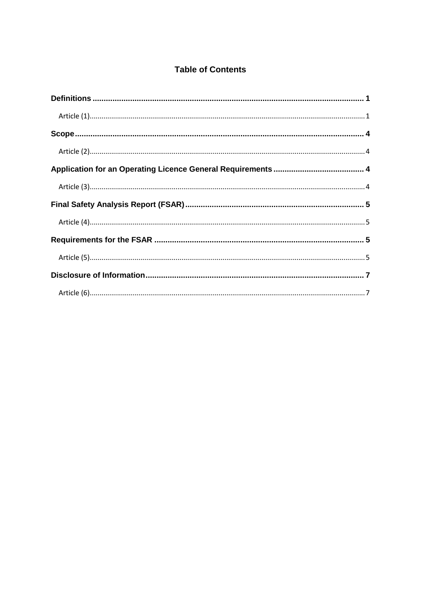#### **Table of Contents**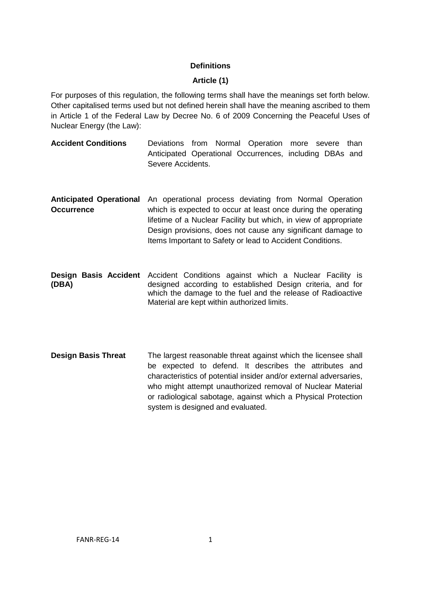#### **Definitions**

#### **Article (1)**

<span id="page-2-1"></span><span id="page-2-0"></span>For purposes of this regulation, the following terms shall have the meanings set forth below. Other capitalised terms used but not defined herein shall have the meaning ascribed to them in Article 1 of the Federal Law by Decree No. 6 of 2009 Concerning the Peaceful Uses of Nuclear Energy (the Law):

- **Accident Conditions** Deviations from Normal Operation more severe than Anticipated Operational Occurrences, including DBAs and Severe Accidents.
- **Anticipated Operational** An operational process deviating from Normal Operation **Occurrence** which is expected to occur at least once during the operating lifetime of a Nuclear Facility but which, in view of appropriate Design provisions, does not cause any significant damage to Items Important to Safety or lead to Accident Conditions.
- Design Basis Accident Accident Conditions against which a Nuclear Facility is **(DBA)** designed according to established Design criteria, and for which the damage to the fuel and the release of Radioactive Material are kept within authorized limits.
- **Design Basis Threat** The largest reasonable threat against which the licensee shall be expected to defend. It describes the attributes and characteristics of potential insider and/or external adversaries, who might attempt unauthorized removal of Nuclear Material or radiological sabotage, against which a Physical Protection system is designed and evaluated.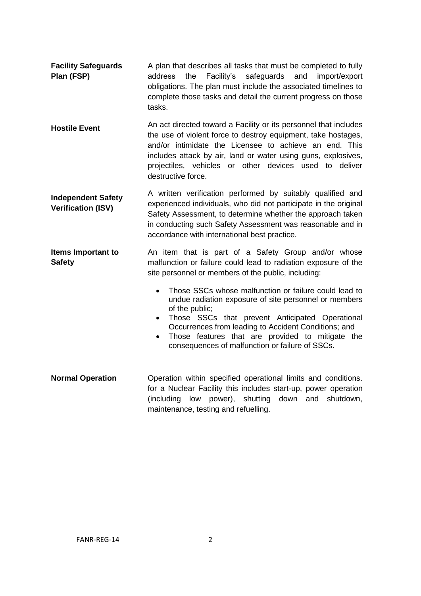- **Facility Safeguards Plan (FSP)** A plan that describes all tasks that must be completed to fully address the Facility's safeguards and import/export obligations. The plan must include the associated timelines to complete those tasks and detail the current progress on those tasks.
- **Hostile Event** An act directed toward a Facility or its personnel that includes the use of violent force to destroy equipment, take hostages, and/or intimidate the Licensee to achieve an end. This includes attack by air, land or water using guns, explosives, projectiles, vehicles or other devices used to deliver destructive force.
- **Independent Safety Verification (ISV)** A written verification performed by suitably qualified and experienced individuals, who did not participate in the original Safety Assessment, to determine whether the approach taken in conducting such Safety Assessment was reasonable and in accordance with international best practice.
- **Items Important to Safety** An item that is part of a Safety Group and/or whose malfunction or failure could lead to radiation exposure of the site personnel or members of the public, including:
	- Those SSCs whose malfunction or failure could lead to undue radiation exposure of site personnel or members of the public;
	- Those SSCs that prevent Anticipated Operational Occurrences from leading to Accident Conditions; and
	- Those features that are provided to mitigate the consequences of malfunction or failure of SSCs.
- **Normal Operation Operation** within specified operational limits and conditions. for a Nuclear Facility this includes start-up, power operation (including low power), shutting down and shutdown, maintenance, testing and refuelling.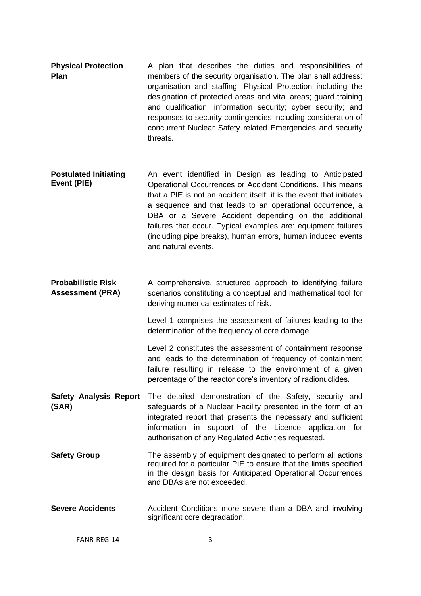- **Physical Protection Plan** A plan that describes the duties and responsibilities of members of the security organisation. The plan shall address: organisation and staffing; Physical Protection including the designation of protected areas and vital areas; guard training and qualification; information security; cyber security; and responses to security contingencies including consideration of concurrent Nuclear Safety related Emergencies and security threats.
- **Postulated Initiating Event (PIE)** An event identified in Design as leading to Anticipated Operational Occurrences or Accident Conditions. This means that a PIE is not an accident itself; it is the event that initiates a sequence and that leads to an operational occurrence, a DBA or a Severe Accident depending on the additional failures that occur. Typical examples are: equipment failures (including pipe breaks), human errors, human induced events and natural events.
- **Probabilistic Risk Assessment (PRA)** A comprehensive, structured approach to identifying failure scenarios constituting a conceptual and mathematical tool for deriving numerical estimates of risk.

Level 1 comprises the assessment of failures leading to the determination of the frequency of core damage.

Level 2 constitutes the assessment of containment response and leads to the determination of frequency of containment failure resulting in release to the environment of a given percentage of the reactor core's inventory of radionuclides.

- **Safety Analysis Report (SAR)** The detailed demonstration of the Safety, security and safeguards of a Nuclear Facility presented in the form of an integrated report that presents the necessary and sufficient information in support of the Licence application for authorisation of any Regulated Activities requested.
- **Safety Group** The assembly of equipment designated to perform all actions required for a particular PIE to ensure that the limits specified in the design basis for Anticipated Operational Occurrences and DBAs are not exceeded.
- **Severe Accidents** Accident Conditions more severe than a DBA and involving significant core degradation.

FANR-RFG-14 3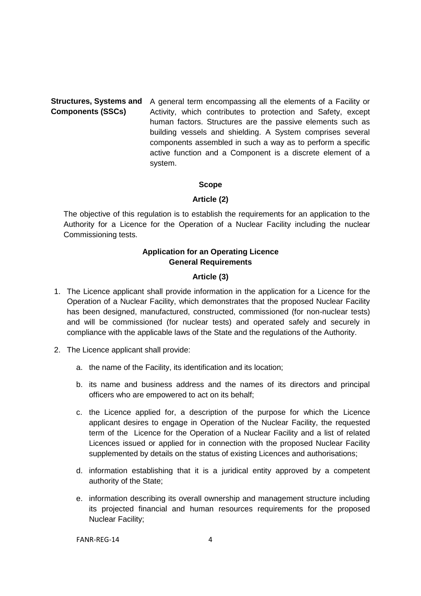## **Components (SSCs)**

Structures, Systems and A general term encompassing all the elements of a Facility or Activity, which contributes to protection and Safety, except human factors. Structures are the passive elements such as building vessels and shielding. A System comprises several components assembled in such a way as to perform a specific active function and a Component is a discrete element of a system.

#### **Scope**

#### **Article (2)**

<span id="page-5-1"></span><span id="page-5-0"></span>The objective of this regulation is to establish the requirements for an application to the Authority for a Licence for the Operation of a Nuclear Facility including the nuclear Commissioning tests.

#### **Application for an Operating Licence General Requirements**

#### **Article (3)**

- <span id="page-5-3"></span><span id="page-5-2"></span>1. The Licence applicant shall provide information in the application for a Licence for the Operation of a Nuclear Facility, which demonstrates that the proposed Nuclear Facility has been designed, manufactured, constructed, commissioned (for non-nuclear tests) and will be commissioned (for nuclear tests) and operated safely and securely in compliance with the applicable laws of the State and the regulations of the Authority.
- 2. The Licence applicant shall provide:
	- a. the name of the Facility, its identification and its location;
	- b. its name and business address and the names of its directors and principal officers who are empowered to act on its behalf;
	- c. the Licence applied for, a description of the purpose for which the Licence applicant desires to engage in Operation of the Nuclear Facility, the requested term of the Licence for the Operation of a Nuclear Facility and a list of related Licences issued or applied for in connection with the proposed Nuclear Facility supplemented by details on the status of existing Licences and authorisations;
	- d. information establishing that it is a juridical entity approved by a competent authority of the State;
	- e. information describing its overall ownership and management structure including its projected financial and human resources requirements for the proposed Nuclear Facility;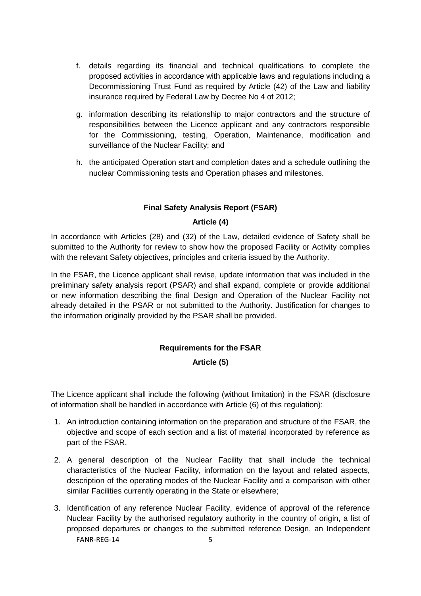- f. details regarding its financial and technical qualifications to complete the proposed activities in accordance with applicable laws and regulations including a Decommissioning Trust Fund as required by Article (42) of the Law and liability insurance required by Federal Law by Decree No 4 of 2012;
- g. information describing its relationship to major contractors and the structure of responsibilities between the Licence applicant and any contractors responsible for the Commissioning, testing, Operation, Maintenance, modification and surveillance of the Nuclear Facility; and
- h. the anticipated Operation start and completion dates and a schedule outlining the nuclear Commissioning tests and Operation phases and milestones.

#### **Final Safety Analysis Report (FSAR)**

#### **Article (4)**

<span id="page-6-1"></span><span id="page-6-0"></span>In accordance with Articles (28) and (32) of the Law, detailed evidence of Safety shall be submitted to the Authority for review to show how the proposed Facility or Activity complies with the relevant Safety objectives, principles and criteria issued by the Authority.

In the FSAR, the Licence applicant shall revise, update information that was included in the preliminary safety analysis report (PSAR) and shall expand, complete or provide additional or new information describing the final Design and Operation of the Nuclear Facility not already detailed in the PSAR or not submitted to the Authority. Justification for changes to the information originally provided by the PSAR shall be provided.

#### **Requirements for the FSAR**

#### **Article (5)**

<span id="page-6-3"></span><span id="page-6-2"></span>The Licence applicant shall include the following (without limitation) in the FSAR (disclosure of information shall be handled in accordance with Article (6) of this regulation):

- 1. An introduction containing information on the preparation and structure of the FSAR, the objective and scope of each section and a list of material incorporated by reference as part of the FSAR.
- 2. A general description of the Nuclear Facility that shall include the technical characteristics of the Nuclear Facility, information on the layout and related aspects, description of the operating modes of the Nuclear Facility and a comparison with other similar Facilities currently operating in the State or elsewhere;
- FANR-RFG-14 5 3. Identification of any reference Nuclear Facility, evidence of approval of the reference Nuclear Facility by the authorised regulatory authority in the country of origin, a list of proposed departures or changes to the submitted reference Design, an Independent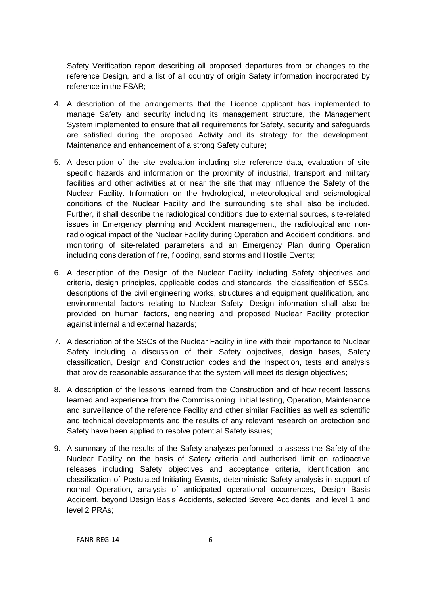Safety Verification report describing all proposed departures from or changes to the reference Design, and a list of all country of origin Safety information incorporated by reference in the FSAR;

- 4. A description of the arrangements that the Licence applicant has implemented to manage Safety and security including its management structure, the Management System implemented to ensure that all requirements for Safety, security and safeguards are satisfied during the proposed Activity and its strategy for the development, Maintenance and enhancement of a strong Safety culture;
- 5. A description of the site evaluation including site reference data, evaluation of site specific hazards and information on the proximity of industrial, transport and military facilities and other activities at or near the site that may influence the Safety of the Nuclear Facility. Information on the hydrological, meteorological and seismological conditions of the Nuclear Facility and the surrounding site shall also be included. Further, it shall describe the radiological conditions due to external sources, site-related issues in Emergency planning and Accident management, the radiological and nonradiological impact of the Nuclear Facility during Operation and Accident conditions, and monitoring of site-related parameters and an Emergency Plan during Operation including consideration of fire, flooding, sand storms and Hostile Events;
- 6. A description of the Design of the Nuclear Facility including Safety objectives and criteria, design principles, applicable codes and standards, the classification of SSCs, descriptions of the civil engineering works, structures and equipment qualification, and environmental factors relating to Nuclear Safety. Design information shall also be provided on human factors, engineering and proposed Nuclear Facility protection against internal and external hazards;
- 7. A description of the SSCs of the Nuclear Facility in line with their importance to Nuclear Safety including a discussion of their Safety objectives, design bases, Safety classification, Design and Construction codes and the Inspection, tests and analysis that provide reasonable assurance that the system will meet its design objectives;
- 8. A description of the lessons learned from the Construction and of how recent lessons learned and experience from the Commissioning, initial testing, Operation, Maintenance and surveillance of the reference Facility and other similar Facilities as well as scientific and technical developments and the results of any relevant research on protection and Safety have been applied to resolve potential Safety issues;
- 9. A summary of the results of the Safety analyses performed to assess the Safety of the Nuclear Facility on the basis of Safety criteria and authorised limit on radioactive releases including Safety objectives and acceptance criteria, identification and classification of Postulated Initiating Events, deterministic Safety analysis in support of normal Operation, analysis of anticipated operational occurrences, Design Basis Accident, beyond Design Basis Accidents, selected Severe Accidents and level 1 and level 2 PRAs;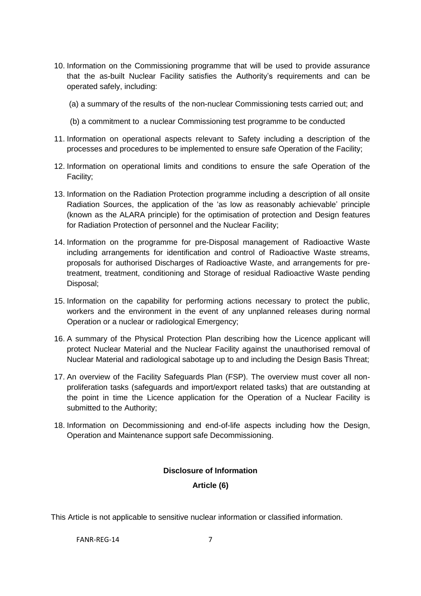- 10. Information on the Commissioning programme that will be used to provide assurance that the as-built Nuclear Facility satisfies the Authority's requirements and can be operated safely, including:
	- (a) a summary of the results of the non-nuclear Commissioning tests carried out; and
	- (b) a commitment to a nuclear Commissioning test programme to be conducted
- 11. Information on operational aspects relevant to Safety including a description of the processes and procedures to be implemented to ensure safe Operation of the Facility;
- 12. Information on operational limits and conditions to ensure the safe Operation of the Facility;
- 13. Information on the Radiation Protection programme including a description of all onsite Radiation Sources, the application of the 'as low as reasonably achievable' principle (known as the ALARA principle) for the optimisation of protection and Design features for Radiation Protection of personnel and the Nuclear Facility;
- 14. Information on the programme for pre-Disposal management of Radioactive Waste including arrangements for identification and control of Radioactive Waste streams, proposals for authorised Discharges of Radioactive Waste, and arrangements for pretreatment, treatment, conditioning and Storage of residual Radioactive Waste pending Disposal;
- 15. Information on the capability for performing actions necessary to protect the public, workers and the environment in the event of any unplanned releases during normal Operation or a nuclear or radiological Emergency;
- 16. A summary of the Physical Protection Plan describing how the Licence applicant will protect Nuclear Material and the Nuclear Facility against the unauthorised removal of Nuclear Material and radiological sabotage up to and including the Design Basis Threat;
- 17. An overview of the Facility Safeguards Plan (FSP). The overview must cover all nonproliferation tasks (safeguards and import/export related tasks) that are outstanding at the point in time the Licence application for the Operation of a Nuclear Facility is submitted to the Authority;
- <span id="page-8-0"></span>18. Information on Decommissioning and end-of-life aspects including how the Design, Operation and Maintenance support safe Decommissioning.

#### **Disclosure of Information**

#### **Article (6)**

<span id="page-8-1"></span>This Article is not applicable to sensitive nuclear information or classified information.

FANR-RFG-14 7